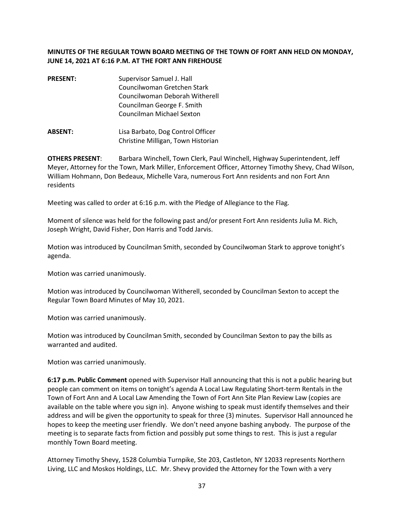## **MINUTES OF THE REGULAR TOWN BOARD MEETING OF THE TOWN OF FORT ANN HELD ON MONDAY, JUNE 14, 2021 AT 6:16 P.M. AT THE FORT ANN FIREHOUSE**

- **PRESENT:** Supervisor Samuel J. Hall Councilwoman Gretchen Stark Councilwoman Deborah Witherell Councilman George F. Smith Councilman Michael Sexton
- **ABSENT:** Lisa Barbato, Dog Control Officer Christine Milligan, Town Historian

**OTHERS PRESENT**: Barbara Winchell, Town Clerk, Paul Winchell, Highway Superintendent, Jeff Meyer, Attorney for the Town, Mark Miller, Enforcement Officer, Attorney Timothy Shevy, Chad Wilson, William Hohmann, Don Bedeaux, Michelle Vara, numerous Fort Ann residents and non Fort Ann residents

Meeting was called to order at 6:16 p.m. with the Pledge of Allegiance to the Flag.

Moment of silence was held for the following past and/or present Fort Ann residents Julia M. Rich, Joseph Wright, David Fisher, Don Harris and Todd Jarvis.

Motion was introduced by Councilman Smith, seconded by Councilwoman Stark to approve tonight's agenda.

Motion was carried unanimously.

Motion was introduced by Councilwoman Witherell, seconded by Councilman Sexton to accept the Regular Town Board Minutes of May 10, 2021.

Motion was carried unanimously.

Motion was introduced by Councilman Smith, seconded by Councilman Sexton to pay the bills as warranted and audited.

Motion was carried unanimously.

**6:17 p.m. Public Comment** opened with Supervisor Hall announcing that this is not a public hearing but people can comment on items on tonight's agenda A Local Law Regulating Short-term Rentals in the Town of Fort Ann and A Local Law Amending the Town of Fort Ann Site Plan Review Law (copies are available on the table where you sign in). Anyone wishing to speak must identify themselves and their address and will be given the opportunity to speak for three (3) minutes. Supervisor Hall announced he hopes to keep the meeting user friendly. We don't need anyone bashing anybody. The purpose of the meeting is to separate facts from fiction and possibly put some things to rest. This is just a regular monthly Town Board meeting.

Attorney Timothy Shevy, 1528 Columbia Turnpike, Ste 203, Castleton, NY 12033 represents Northern Living, LLC and Moskos Holdings, LLC. Mr. Shevy provided the Attorney for the Town with a very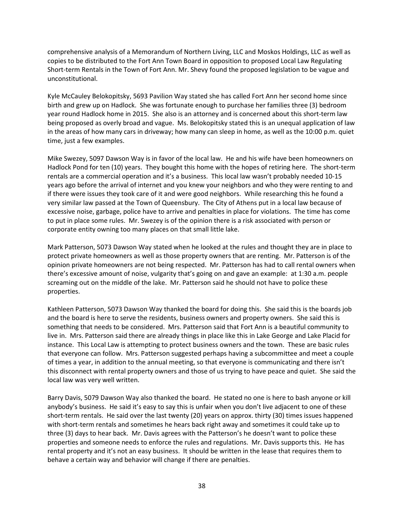comprehensive analysis of a Memorandum of Northern Living, LLC and Moskos Holdings, LLC as well as copies to be distributed to the Fort Ann Town Board in opposition to proposed Local Law Regulating Short-term Rentals in the Town of Fort Ann. Mr. Shevy found the proposed legislation to be vague and unconstitutional.

Kyle McCauley Belokopitsky, 5693 Pavilion Way stated she has called Fort Ann her second home since birth and grew up on Hadlock. She was fortunate enough to purchase her families three (3) bedroom year round Hadlock home in 2015. She also is an attorney and is concerned about this short-term law being proposed as overly broad and vague. Ms. Belokopitsky stated this is an unequal application of law in the areas of how many cars in driveway; how many can sleep in home, as well as the 10:00 p.m. quiet time, just a few examples.

Mike Swezey, 5097 Dawson Way is in favor of the local law. He and his wife have been homeowners on Hadlock Pond for ten (10) years. They bought this home with the hopes of retiring here. The short-term rentals are a commercial operation and it's a business. This local law wasn't probably needed 10-15 years ago before the arrival of internet and you knew your neighbors and who they were renting to and if there were issues they took care of it and were good neighbors. While researching this he found a very similar law passed at the Town of Queensbury. The City of Athens put in a local law because of excessive noise, garbage, police have to arrive and penalties in place for violations. The time has come to put in place some rules. Mr. Swezey is of the opinion there is a risk associated with person or corporate entity owning too many places on that small little lake.

Mark Patterson, 5073 Dawson Way stated when he looked at the rules and thought they are in place to protect private homeowners as well as those property owners that are renting. Mr. Patterson is of the opinion private homeowners are not being respected. Mr. Patterson has had to call rental owners when there's excessive amount of noise, vulgarity that's going on and gave an example: at 1:30 a.m. people screaming out on the middle of the lake. Mr. Patterson said he should not have to police these properties.

Kathleen Patterson, 5073 Dawson Way thanked the board for doing this. She said this is the boards job and the board is here to serve the residents, business owners and property owners. She said this is something that needs to be considered. Mrs. Patterson said that Fort Ann is a beautiful community to live in. Mrs. Patterson said there are already things in place like this in Lake George and Lake Placid for instance. This Local Law is attempting to protect business owners and the town. These are basic rules that everyone can follow. Mrs. Patterson suggested perhaps having a subcommittee and meet a couple of times a year, in addition to the annual meeting, so that everyone is communicating and there isn't this disconnect with rental property owners and those of us trying to have peace and quiet. She said the local law was very well written.

Barry Davis, 5079 Dawson Way also thanked the board. He stated no one is here to bash anyone or kill anybody's business. He said it's easy to say this is unfair when you don't live adjacent to one of these short-term rentals. He said over the last twenty (20) years on approx. thirty (30) times issues happened with short-term rentals and sometimes he hears back right away and sometimes it could take up to three (3) days to hear back. Mr. Davis agrees with the Patterson's he doesn't want to police these properties and someone needs to enforce the rules and regulations. Mr. Davis supports this. He has rental property and it's not an easy business. It should be written in the lease that requires them to behave a certain way and behavior will change if there are penalties.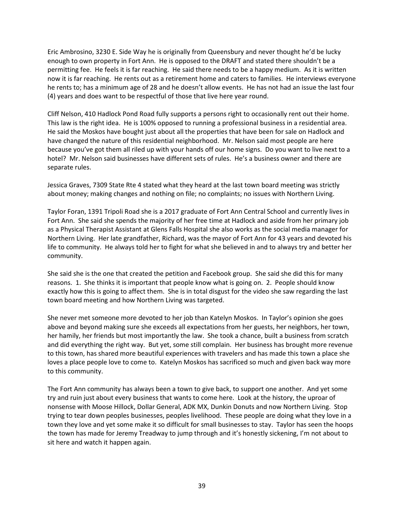Eric Ambrosino, 3230 E. Side Way he is originally from Queensbury and never thought he'd be lucky enough to own property in Fort Ann. He is opposed to the DRAFT and stated there shouldn't be a permitting fee. He feels it is far reaching. He said there needs to be a happy medium. As it is written now it is far reaching. He rents out as a retirement home and caters to families. He interviews everyone he rents to; has a minimum age of 28 and he doesn't allow events. He has not had an issue the last four (4) years and does want to be respectful of those that live here year round.

Cliff Nelson, 410 Hadlock Pond Road fully supports a persons right to occasionally rent out their home. This law is the right idea. He is 100% opposed to running a professional business in a residential area. He said the Moskos have bought just about all the properties that have been for sale on Hadlock and have changed the nature of this residential neighborhood. Mr. Nelson said most people are here because you've got them all riled up with your hands off our home signs. Do you want to live next to a hotel? Mr. Nelson said businesses have different sets of rules. He's a business owner and there are separate rules.

Jessica Graves, 7309 State Rte 4 stated what they heard at the last town board meeting was strictly about money; making changes and nothing on file; no complaints; no issues with Northern Living.

Taylor Foran, 1391 Tripoli Road she is a 2017 graduate of Fort Ann Central School and currently lives in Fort Ann. She said she spends the majority of her free time at Hadlock and aside from her primary job as a Physical Therapist Assistant at Glens Falls Hospital she also works as the social media manager for Northern Living. Her late grandfather, Richard, was the mayor of Fort Ann for 43 years and devoted his life to community. He always told her to fight for what she believed in and to always try and better her community.

She said she is the one that created the petition and Facebook group. She said she did this for many reasons. 1. She thinks it is important that people know what is going on. 2. People should know exactly how this is going to affect them. She is in total disgust for the video she saw regarding the last town board meeting and how Northern Living was targeted.

She never met someone more devoted to her job than Katelyn Moskos. In Taylor's opinion she goes above and beyond making sure she exceeds all expectations from her guests, her neighbors, her town, her hamily, her friends but most importantly the law. She took a chance, built a business from scratch and did everything the right way. But yet, some still complain. Her business has brought more revenue to this town, has shared more beautiful experiences with travelers and has made this town a place she loves a place people love to come to. Katelyn Moskos has sacrificed so much and given back way more to this community.

The Fort Ann community has always been a town to give back, to support one another. And yet some try and ruin just about every business that wants to come here. Look at the history, the uproar of nonsense with Moose Hillock, Dollar General, ADK MX, Dunkin Donuts and now Northern Living. Stop trying to tear down peoples businesses, peoples livelihood. These people are doing what they love in a town they love and yet some make it so difficult for small businesses to stay. Taylor has seen the hoops the town has made for Jeremy Treadway to jump through and it's honestly sickening, I'm not about to sit here and watch it happen again.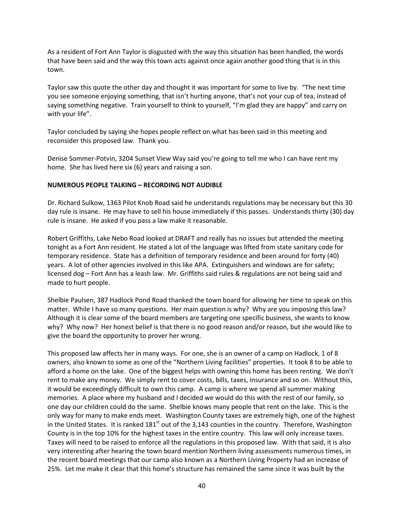As a resident of Fort Ann Taylor is disgusted with the way this situation has been handled, the words that have been said and the way this town acts against once again another good thing that is in this town.

Taylor saw this quote the other day and thought it was important for some to live by. "The next time you see someone enjoying something, that isn't hurting anyone, that's not your cup of tea, instead of saying something negative. Train yourself to think to yourself, "I'm glad they are happy" and carry on with your life".

Taylor concluded by saying she hopes people reflect on what has been said in this meeting and reconsider this proposed law. Thank you.

Denise Sommer-Potvin, 3204 Sunset View Way said you're going to tell me who I can have rent my home. She has lived here six (6) years and raising a son.

### **NUMEROUS PEOPLE TALKING – RECORDING NOT AUDIBLE**

Dr. Richard Sulkow, 1363 Pilot Knob Road said he understands regulations may be necessary but this 30 day rule is insane. He may have to sell his house immediately if this passes. Understands thirty (30) day rule is insane. He asked if you pass a law make it reasonable.

Robert Griffiths, Lake Nebo Road looked at DRAFT and really has no issues but attended the meeting tonight as a Fort Ann resident. He stated a lot of the language was lifted from state sanitary code for temporary residence. State has a definition of temporary residence and been around for forty (40) years. A lot of other agencies involved in this like APA. Extinguishers and windows are for safety; licensed dog – Fort Ann has a leash law. Mr. Griffiths said rules & regulations are not being said and made to hurt people.

Shelbie Paulsen, 387 Hadlock Pond Road thanked the town board for allowing her time to speak on this matter. While I have so many questions. Her main question is why? Why are you imposing this law? Although it is clear some of the board members are targeting one specific business, she wants to know why? Why now? Her honest belief is that there is no good reason and/or reason, but she would like to give the board the opportunity to prover her wrong.

This proposed law affects her in many ways. For one, she is an owner of a camp on Hadlock, 1 of 8 owners, also known to some as one of the "Northern Living facilities" properties. It took 8 to be able to afford a home on the lake. One of the biggest helps with owning this home has been renting. We don't rent to make any money. We simply rent to cover costs, bills, taxes, insurance and so on. Without this, it would be exceedingly difficult to own this camp. A camp is where we spend all summer making memories. A place where my husband and I decided we would do this with the rest of our family, so one day our children could do the same. Shelbie knows many people that rent on the lake. This is the only way for many to make ends meet. Washington County taxes are extremely high, one of the highest in the United States. It is ranked  $181<sup>st</sup>$  out of the 3,143 counties in the country. Therefore, Washington County is in the top 10% for the highest taxes in the entire country. This law will only increase taxes. Taxes will need to be raised to enforce all the regulations in this proposed law. With that said, it is also very interesting after hearing the town board mention Northern living assessments numerous times, in the recent board meetings that our camp also known as a Northern Living Property had an increase of 25%. Let me make it clear that this home's structure has remained the same since it was built by the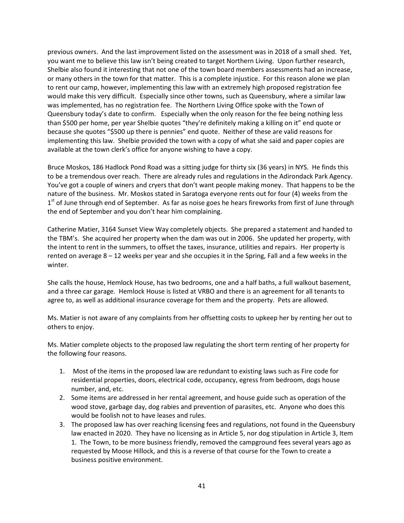previous owners. And the last improvement listed on the assessment was in 2018 of a small shed. Yet, you want me to believe this law isn't being created to target Northern Living. Upon further research, Shelbie also found it interesting that not one of the town board members assessments had an increase, or many others in the town for that matter. This is a complete injustice. For this reason alone we plan to rent our camp, however, implementing this law with an extremely high proposed registration fee would make this very difficult. Especially since other towns, such as Queensbury, where a similar law was implemented, has no registration fee. The Northern Living Office spoke with the Town of Queensbury today's date to confirm. Especially when the only reason for the fee being nothing less than \$500 per home, per year Shelbie quotes "they're definitely making a killing on it" end quote or because she quotes "\$500 up there is pennies" end quote. Neither of these are valid reasons for implementing this law. Shelbie provided the town with a copy of what she said and paper copies are available at the town clerk's office for anyone wishing to have a copy.

Bruce Moskos, 186 Hadlock Pond Road was a sitting judge for thirty six (36 years) in NYS. He finds this to be a tremendous over reach. There are already rules and regulations in the Adirondack Park Agency. You've got a couple of winers and cryers that don't want people making money. That happens to be the nature of the business. Mr. Moskos stated in Saratoga everyone rents out for four (4) weeks from the 1<sup>st</sup> of June through end of September. As far as noise goes he hears fireworks from first of June through the end of September and you don't hear him complaining.

Catherine Matier, 3164 Sunset View Way completely objects. She prepared a statement and handed to the TBM's. She acquired her property when the dam was out in 2006. She updated her property, with the intent to rent in the summers, to offset the taxes, insurance, utilities and repairs. Her property is rented on average 8 – 12 weeks per year and she occupies it in the Spring, Fall and a few weeks in the winter.

She calls the house, Hemlock House, has two bedrooms, one and a half baths, a full walkout basement, and a three car garage. Hemlock House is listed at VRBO and there is an agreement for all tenants to agree to, as well as additional insurance coverage for them and the property. Pets are allowed.

Ms. Matier is not aware of any complaints from her offsetting costs to upkeep her by renting her out to others to enjoy.

Ms. Matier complete objects to the proposed law regulating the short term renting of her property for the following four reasons.

- 1. Most of the items in the proposed law are redundant to existing laws such as Fire code for residential properties, doors, electrical code, occupancy, egress from bedroom, dogs house number, and, etc.
- 2. Some items are addressed in her rental agreement, and house guide such as operation of the wood stove, garbage day, dog rabies and prevention of parasites, etc. Anyone who does this would be foolish not to have leases and rules.
- 3. The proposed law has over reaching licensing fees and regulations, not found in the Queensbury law enacted in 2020. They have no licensing as in Article 5, nor dog stipulation in Article 3, Item 1. The Town, to be more business friendly, removed the campground fees several years ago as requested by Moose Hillock, and this is a reverse of that course for the Town to create a business positive environment.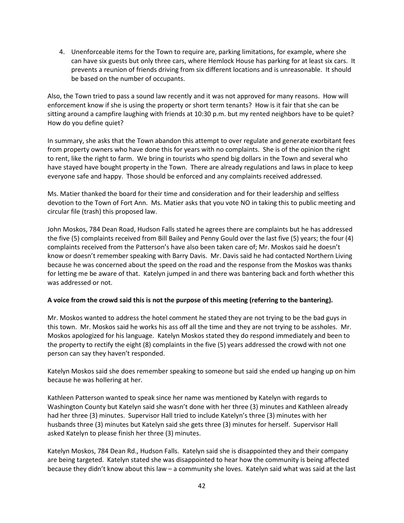4. Unenforceable items for the Town to require are, parking limitations, for example, where she can have six guests but only three cars, where Hemlock House has parking for at least six cars. It prevents a reunion of friends driving from six different locations and is unreasonable. It should be based on the number of occupants.

Also, the Town tried to pass a sound law recently and it was not approved for many reasons. How will enforcement know if she is using the property or short term tenants? How is it fair that she can be sitting around a campfire laughing with friends at 10:30 p.m. but my rented neighbors have to be quiet? How do you define quiet?

In summary, she asks that the Town abandon this attempt to over regulate and generate exorbitant fees from property owners who have done this for years with no complaints. She is of the opinion the right to rent, like the right to farm. We bring in tourists who spend big dollars in the Town and several who have stayed have bought property in the Town. There are already regulations and laws in place to keep everyone safe and happy. Those should be enforced and any complaints received addressed.

Ms. Matier thanked the board for their time and consideration and for their leadership and selfless devotion to the Town of Fort Ann. Ms. Matier asks that you vote NO in taking this to public meeting and circular file (trash) this proposed law.

John Moskos, 784 Dean Road, Hudson Falls stated he agrees there are complaints but he has addressed the five (5) complaints received from Bill Bailey and Penny Gould over the last five (5) years; the four (4) complaints received from the Patterson's have also been taken care of; Mr. Moskos said he doesn't know or doesn't remember speaking with Barry Davis. Mr. Davis said he had contacted Northern Living because he was concerned about the speed on the road and the response from the Moskos was thanks for letting me be aware of that. Katelyn jumped in and there was bantering back and forth whether this was addressed or not.

## **A voice from the crowd said this is not the purpose of this meeting (referring to the bantering).**

Mr. Moskos wanted to address the hotel comment he stated they are not trying to be the bad guys in this town. Mr. Moskos said he works his ass off all the time and they are not trying to be assholes. Mr. Moskos apologized for his language. Katelyn Moskos stated they do respond immediately and been to the property to rectify the eight (8) complaints in the five (5) years addressed the crowd with not one person can say they haven't responded.

Katelyn Moskos said she does remember speaking to someone but said she ended up hanging up on him because he was hollering at her.

Kathleen Patterson wanted to speak since her name was mentioned by Katelyn with regards to Washington County but Katelyn said she wasn't done with her three (3) minutes and Kathleen already had her three (3) minutes. Supervisor Hall tried to include Katelyn's three (3) minutes with her husbands three (3) minutes but Katelyn said she gets three (3) minutes for herself. Supervisor Hall asked Katelyn to please finish her three (3) minutes.

Katelyn Moskos, 784 Dean Rd., Hudson Falls. Katelyn said she is disappointed they and their company are being targeted. Katelyn stated she was disappointed to hear how the community is being affected because they didn't know about this law – a community she loves. Katelyn said what was said at the last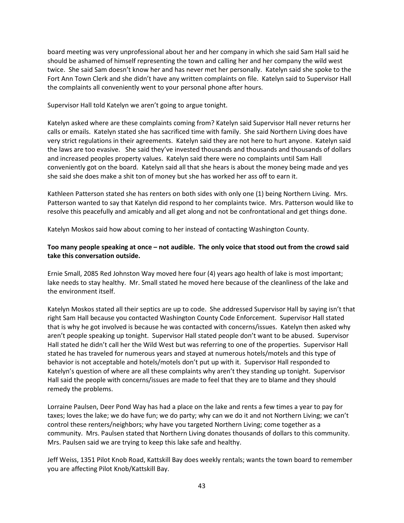board meeting was very unprofessional about her and her company in which she said Sam Hall said he should be ashamed of himself representing the town and calling her and her company the wild west twice. She said Sam doesn't know her and has never met her personally. Katelyn said she spoke to the Fort Ann Town Clerk and she didn't have any written complaints on file. Katelyn said to Supervisor Hall the complaints all conveniently went to your personal phone after hours.

Supervisor Hall told Katelyn we aren't going to argue tonight.

Katelyn asked where are these complaints coming from? Katelyn said Supervisor Hall never returns her calls or emails. Katelyn stated she has sacrificed time with family. She said Northern Living does have very strict regulations in their agreements. Katelyn said they are not here to hurt anyone. Katelyn said the laws are too evasive. She said they've invested thousands and thousands and thousands of dollars and increased peoples property values. Katelyn said there were no complaints until Sam Hall conveniently got on the board. Katelyn said all that she hears is about the money being made and yes she said she does make a shit ton of money but she has worked her ass off to earn it.

Kathleen Patterson stated she has renters on both sides with only one (1) being Northern Living. Mrs. Patterson wanted to say that Katelyn did respond to her complaints twice. Mrs. Patterson would like to resolve this peacefully and amicably and all get along and not be confrontational and get things done.

Katelyn Moskos said how about coming to her instead of contacting Washington County.

# **Too many people speaking at once – not audible. The only voice that stood out from the crowd said take this conversation outside.**

Ernie Small, 2085 Red Johnston Way moved here four (4) years ago health of lake is most important; lake needs to stay healthy. Mr. Small stated he moved here because of the cleanliness of the lake and the environment itself.

Katelyn Moskos stated all their septics are up to code. She addressed Supervisor Hall by saying isn't that right Sam Hall because you contacted Washington County Code Enforcement. Supervisor Hall stated that is why he got involved is because he was contacted with concerns/issues. Katelyn then asked why aren't people speaking up tonight. Supervisor Hall stated people don't want to be abused. Supervisor Hall stated he didn't call her the Wild West but was referring to one of the properties. Supervisor Hall stated he has traveled for numerous years and stayed at numerous hotels/motels and this type of behavior is not acceptable and hotels/motels don't put up with it. Supervisor Hall responded to Katelyn's question of where are all these complaints why aren't they standing up tonight. Supervisor Hall said the people with concerns/issues are made to feel that they are to blame and they should remedy the problems.

Lorraine Paulsen, Deer Pond Way has had a place on the lake and rents a few times a year to pay for taxes; loves the lake; we do have fun; we do party; why can we do it and not Northern Living; we can't control these renters/neighbors; why have you targeted Northern Living; come together as a community. Mrs. Paulsen stated that Northern Living donates thousands of dollars to this community. Mrs. Paulsen said we are trying to keep this lake safe and healthy.

Jeff Weiss, 1351 Pilot Knob Road, Kattskill Bay does weekly rentals; wants the town board to remember you are affecting Pilot Knob/Kattskill Bay.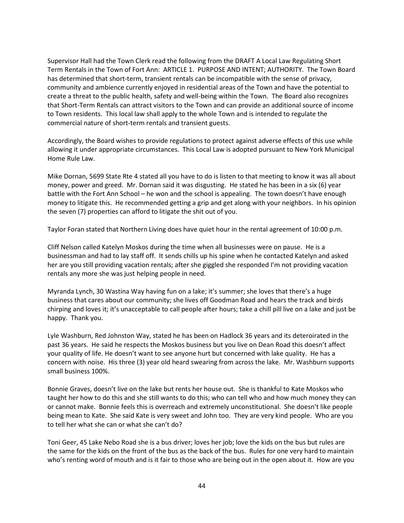Supervisor Hall had the Town Clerk read the following from the DRAFT A Local Law Regulating Short Term Rentals in the Town of Fort Ann: ARTICLE 1. PURPOSE AND INTENT; AUTHORITY. The Town Board has determined that short-term, transient rentals can be incompatible with the sense of privacy, community and ambience currently enjoyed in residential areas of the Town and have the potential to create a threat to the public health, safety and well-being within the Town. The Board also recognizes that Short-Term Rentals can attract visitors to the Town and can provide an additional source of income to Town residents. This local law shall apply to the whole Town and is intended to regulate the commercial nature of short-term rentals and transient guests.

Accordingly, the Board wishes to provide regulations to protect against adverse effects of this use while allowing it under appropriate circumstances. This Local Law is adopted pursuant to New York Municipal Home Rule Law.

Mike Dornan, 5699 State Rte 4 stated all you have to do is listen to that meeting to know it was all about money, power and greed. Mr. Dornan said it was disgusting. He stated he has been in a six (6) year battle with the Fort Ann School – he won and the school is appealing. The town doesn't have enough money to litigate this. He recommended getting a grip and get along with your neighbors. In his opinion the seven (7) properties can afford to litigate the shit out of you.

Taylor Foran stated that Northern Living does have quiet hour in the rental agreement of 10:00 p.m.

Cliff Nelson called Katelyn Moskos during the time when all businesses were on pause. He is a businessman and had to lay staff off. It sends chills up his spine when he contacted Katelyn and asked her are you still providing vacation rentals; after she giggled she responded I'm not providing vacation rentals any more she was just helping people in need.

Myranda Lynch, 30 Wastina Way having fun on a lake; it's summer; she loves that there's a huge business that cares about our community; she lives off Goodman Road and hears the track and birds chirping and loves it; it's unacceptable to call people after hours; take a chill pill live on a lake and just be happy. Thank you.

Lyle Washburn, Red Johnston Way, stated he has been on Hadlock 36 years and its deteroirated in the past 36 years. He said he respects the Moskos business but you live on Dean Road this doesn't affect your quality of life. He doesn't want to see anyone hurt but concerned with lake quality. He has a concern with noise. His three (3) year old heard swearing from across the lake. Mr. Washburn supports small business 100%.

Bonnie Graves, doesn't live on the lake but rents her house out. She is thankful to Kate Moskos who taught her how to do this and she still wants to do this; who can tell who and how much money they can or cannot make. Bonnie feels this is overreach and extremely unconstitutional. She doesn't like people being mean to Kate. She said Kate is very sweet and John too. They are very kind people. Who are you to tell her what she can or what she can't do?

Toni Geer, 45 Lake Nebo Road she is a bus driver; loves her job; love the kids on the bus but rules are the same for the kids on the front of the bus as the back of the bus. Rules for one very hard to maintain who's renting word of mouth and is it fair to those who are being out in the open about it. How are you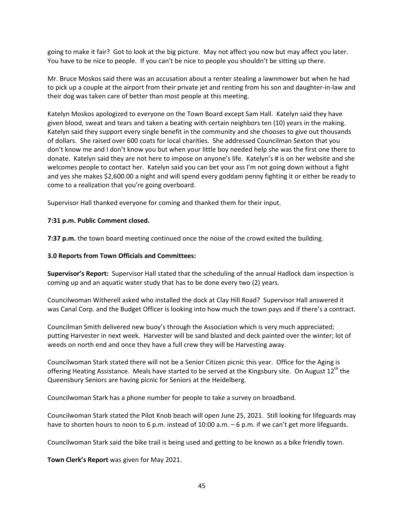going to make it fair? Got to look at the big picture. May not affect you now but may affect you later. You have to be nice to people. If you can't be nice to people you shouldn't be sitting up there.

Mr. Bruce Moskos said there was an accusation about a renter stealing a lawnmower but when he had to pick up a couple at the airport from their private jet and renting from his son and daughter-in-law and their dog was taken care of better than most people at this meeting.

Katelyn Moskos apologized to everyone on the Town Board except Sam Hall. Katelyn said they have given blood, sweat and tears and taken a beating with certain neighbors ten (10) years in the making. Katelyn said they support every single benefit in the community and she chooses to give out thousands of dollars. She raised over 600 coats for local charities. She addressed Councilman Sexton that you don't know me and I don't know you but when your little boy needed help she was the first one there to donate. Katelyn said they are not here to impose on anyone's life. Katelyn's # is on her website and she welcomes people to contact her. Katelyn said you can bet your ass I'm not going down without a fight and yes she makes \$2,600.00 a night and will spend every goddam penny fighting it or either be ready to come to a realization that you're going overboard.

Supervisor Hall thanked everyone for coming and thanked them for their input.

## **7:31 p.m. Public Comment closed.**

**7:37 p.m.** the town board meeting continued once the noise of the crowd exited the building.

## **3.0 Reports from Town Officials and Committees:**

**Supervisor's Report:** Supervisor Hall stated that the scheduling of the annual Hadlock dam inspection is coming up and an aquatic water study that has to be done every two (2) years.

Councilwoman Witherell asked who installed the dock at Clay Hill Road? Supervisor Hall answered it was Canal Corp. and the Budget Officer is looking into how much the town pays and if there's a contract.

Councilman Smith delivered new buoy's through the Association which is very much appreciated; putting Harvester in next week. Harvester will be sand blasted and deck painted over the winter; lot of weeds on north end and once they have a full crew they will be Harvesting away.

Councilwoman Stark stated there will not be a Senior Citizen picnic this year. Office for the Aging is offering Heating Assistance. Meals have started to be served at the Kingsbury site. On August  $12^{th}$  the Queensbury Seniors are having picnic for Seniors at the Heidelberg.

Councilwoman Stark has a phone number for people to take a survey on broadband.

Councilwoman Stark stated the Pilot Knob beach will open June 25, 2021. Still looking for lifeguards may have to shorten hours to noon to 6 p.m. instead of 10:00 a.m. – 6 p.m. if we can't get more lifeguards.

Councilwoman Stark said the bike trail is being used and getting to be known as a bike friendly town.

**Town Clerk's Report** was given for May 2021.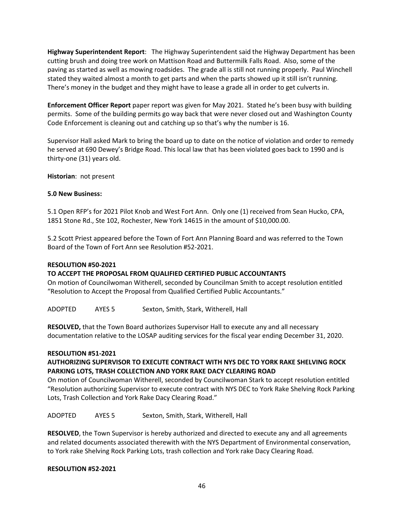**Highway Superintendent Report**: The Highway Superintendent said the Highway Department has been cutting brush and doing tree work on Mattison Road and Buttermilk Falls Road. Also, some of the paving as started as well as mowing roadsides. The grade all is still not running properly. Paul Winchell stated they waited almost a month to get parts and when the parts showed up it still isn't running. There's money in the budget and they might have to lease a grade all in order to get culverts in.

**Enforcement Officer Report** paper report was given for May 2021. Stated he's been busy with building permits. Some of the building permits go way back that were never closed out and Washington County Code Enforcement is cleaning out and catching up so that's why the number is 16.

Supervisor Hall asked Mark to bring the board up to date on the notice of violation and order to remedy he served at 690 Dewey's Bridge Road. This local law that has been violated goes back to 1990 and is thirty-one (31) years old.

**Historian**: not present

## **5.0 New Business:**

5.1 Open RFP's for 2021 Pilot Knob and West Fort Ann. Only one (1) received from Sean Hucko, CPA, 1851 Stone Rd., Ste 102, Rochester, New York 14615 in the amount of \$10,000.00.

5.2 Scott Priest appeared before the Town of Fort Ann Planning Board and was referred to the Town Board of the Town of Fort Ann see Resolution #52-2021.

#### **RESOLUTION #50-2021**

## **TO ACCEPT THE PROPOSAL FROM QUALIFIED CERTIFIED PUBLIC ACCOUNTANTS**

On motion of Councilwoman Witherell, seconded by Councilman Smith to accept resolution entitled "Resolution to Accept the Proposal from Qualified Certified Public Accountants."

ADOPTED AYES 5 Sexton, Smith, Stark, Witherell, Hall

**RESOLVED,** that the Town Board authorizes Supervisor Hall to execute any and all necessary documentation relative to the LOSAP auditing services for the fiscal year ending December 31, 2020.

#### **RESOLUTION #51-2021**

## **AUTHORIZING SUPERVISOR TO EXECUTE CONTRACT WITH NYS DEC TO YORK RAKE SHELVING ROCK PARKING LOTS, TRASH COLLECTION AND YORK RAKE DACY CLEARING ROAD**

On motion of Councilwoman Witherell, seconded by Councilwoman Stark to accept resolution entitled "Resolution authorizing Supervisor to execute contract with NYS DEC to York Rake Shelving Rock Parking Lots, Trash Collection and York Rake Dacy Clearing Road."

ADOPTED AYES 5 Sexton, Smith, Stark, Witherell, Hall

**RESOLVED**, the Town Supervisor is hereby authorized and directed to execute any and all agreements and related documents associated therewith with the NYS Department of Environmental conservation, to York rake Shelving Rock Parking Lots, trash collection and York rake Dacy Clearing Road.

#### **RESOLUTION #52-2021**